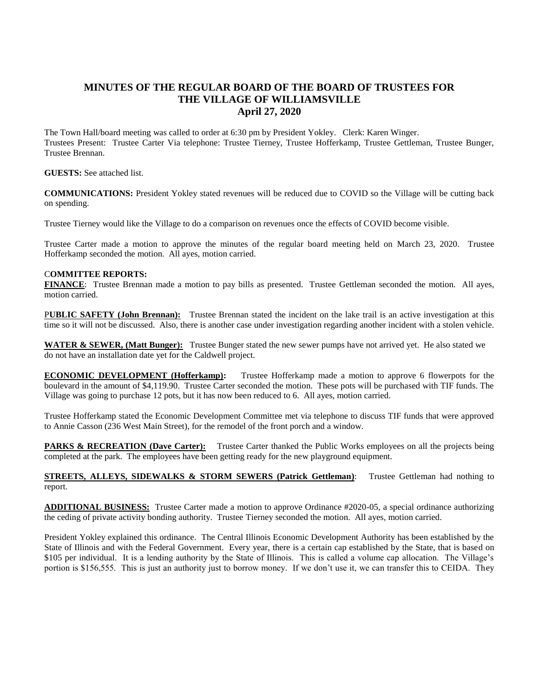## **MINUTES OF THE REGULAR BOARD OF THE BOARD OF TRUSTEES FOR THE VILLAGE OF WILLIAMSVILLE April 27, 2020**

The Town Hall/board meeting was called to order at 6:30 pm by President Yokley. Clerk: Karen Winger. Trustees Present: Trustee Carter Via telephone: Trustee Tierney, Trustee Hofferkamp, Trustee Gettleman, Trustee Bunger, Trustee Brennan.

**GUESTS:** See attached list.

**COMMUNICATIONS:** President Yokley stated revenues will be reduced due to COVID so the Village will be cutting back on spending.

Trustee Tierney would like the Village to do a comparison on revenues once the effects of COVID become visible.

Trustee Carter made a motion to approve the minutes of the regular board meeting held on March 23, 2020. Trustee Hofferkamp seconded the motion. All ayes, motion carried.

## C**OMMITTEE REPORTS:**

**FINANCE**: Trustee Brennan made a motion to pay bills as presented. Trustee Gettleman seconded the motion. All ayes, motion carried.

P**UBLIC SAFETY (John Brennan):** Trustee Brennan stated the incident on the lake trail is an active investigation at this time so it will not be discussed. Also, there is another case under investigation regarding another incident with a stolen vehicle.

**WATER & SEWER, (Matt Bunger):** Trustee Bunger stated the new sewer pumps have not arrived yet. He also stated we do not have an installation date yet for the Caldwell project.

**ECONOMIC DEVELOPMENT (Hofferkamp):** Trustee Hofferkamp made a motion to approve 6 flowerpots for the boulevard in the amount of \$4,119.90. Trustee Carter seconded the motion. These pots will be purchased with TIF funds. The Village was going to purchase 12 pots, but it has now been reduced to 6. All ayes, motion carried.

Trustee Hofferkamp stated the Economic Development Committee met via telephone to discuss TIF funds that were approved to Annie Casson (236 West Main Street), for the remodel of the front porch and a window.

**PARKS & RECREATION (Dave Carter):** Trustee Carter thanked the Public Works employees on all the projects being completed at the park. The employees have been getting ready for the new playground equipment.

**STREETS, ALLEYS, SIDEWALKS & STORM SEWERS (Patrick Gettleman)**: Trustee Gettleman had nothing to report.

**ADDITIONAL BUSINESS:** Trustee Carter made a motion to approve Ordinance #2020-05, a special ordinance authorizing the ceding of private activity bonding authority. Trustee Tierney seconded the motion. All ayes, motion carried.

President Yokley explained this ordinance. The Central Illinois Economic Development Authority has been established by the State of Illinois and with the Federal Government. Every year, there is a certain cap established by the State, that is based on \$105 per individual. It is a lending authority by the State of Illinois. This is called a volume cap allocation. The Village's portion is \$156,555. This is just an authority just to borrow money. If we don't use it, we can transfer this to CEIDA. They